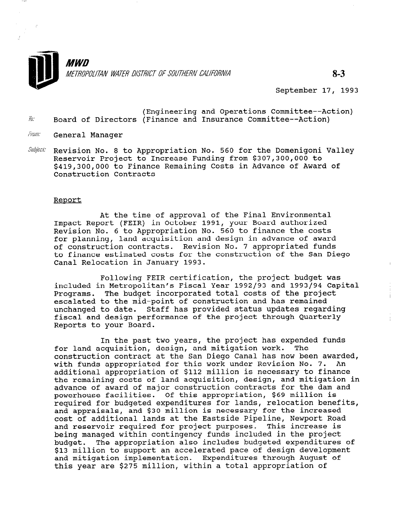

September 17, 1993

- (Engineering and Operations Committee--Action)<br>I- Board of Directors (Finance and Insurance Committee--Action)
- From: General Manager

 $-$  we

 $\cdot$ 

Subject: Revision No. 8 to Appropriation No. 560 for the Domenigoni Valley Reservoir Project to Increase Funding from \$307,300,000 to \$419,300,000 to Finance Remaining Costs in Advance of Award of Construction Contracts

#### Report

At the time of approval of the Final Environmental Impact Report (FEIR) in October 1991, your Board authorized Revision No. 6 to Appropriation No. 560 to finance the costs for planning, land acquisition and design in advance of award of construction contracts. Revision No. 7 appropriated funds to finance estimated costs for the construction of the San Diego Canal Relocation in January 1993.

Following FEIR certification, the project budget was included in Metropolitan's Fiscal Year 1992/93 and 1993/94 Capital Programs. The budget incorporated total costs of the project escalated to the mid-point of construction and has remained unchanged to date. Staff has provided status updates regarding fiscal and design performance of the project through Quarterly Reports to your Board.

In the past two years, the project has expended funds In the past two years, the project has expendent than the project of the model of the model of the model of the construction contract at the San Diego Canal has now been awarded construction contract at the pan prego canar has now been award. with funds appropriated for this work under Revision No. 7. An<br>additional appropriation of \$112 million is necessary to finance the remaining costs of land acquisition, design, and mitigation in che remaining costs of fand acquisition, design, and mitigation powerhouse facilities. Of this appropriation, \$69 million is powernouse racificies. Of this appropriation, you million is<br>required for budgeted expenditures for lands, relocation benefit required for budgeted expenditures for fands, refocation ben and appraisals, and \$30 million is necessary for the increased<br>cost of additional lands at the Eastside Pipeline, Newport Road cost of additional fands at the Eastside Piperine, Newport Road and reservoir required for project purposes. This increase being managed within contingency funds included in the project budget. The appropriation also includes budgeted expenditures of \$13 million to support an accelerated pace of design development and mitigation implementation. Expenditures through August of<br>this year are \$275 million, within a total appropriation of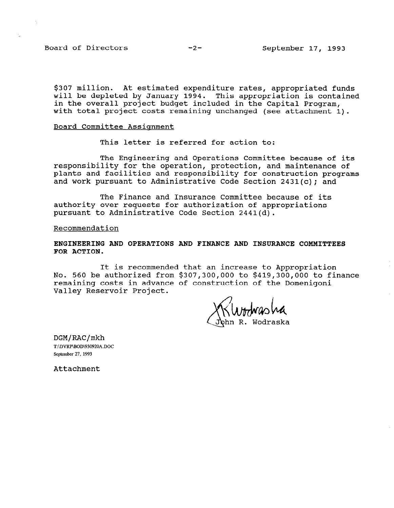Board of Directors -2- September 17, 1993

\$307 million. At estimated expenditure rates, appropriated funds will be depleted by January 1994. This appropriation is contained in the overall project budget included in the Capital Program, with total project costs remaining unchanged (see attachment 1).

#### Board Committee Assiqnment

This letter is referred for action to:

The Engineering and Operations Committee because of its responsibility for the operation, protection, and maintenance of plants and facilities and responsibility for construction programs and work pursuant to Administrative Code Section 2431(c); and

The Finance and Insurance Committee because of its authority over requests for authorization of appropriations pursuant to Administrative Code Section 2441(d).

Recommendation

ENGINEERING AND OPERATIONS AND FINANCE AND INSURANCE COMMITTEES FOR ACTION.

It is recommended that an increase to Appropriation No. 560 be authorized from \$307,300,000 to \$419,300,000 to finance remaining costs in advance of construction of the Domenigoni Valley Reservoir Project.

NtowasWa<br>R. Wodraska

DGM/RAC/mkh T:\DVRP\BOD\930920A,DOC September 27, 1993

Attachment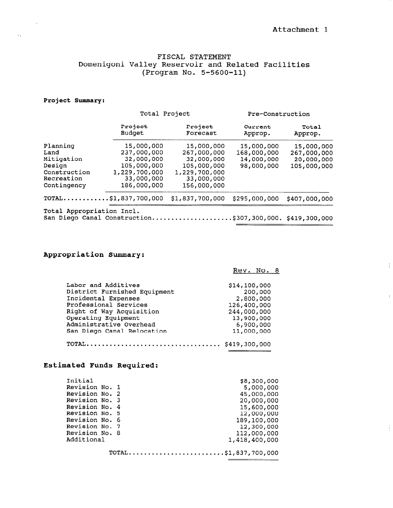$\frac{1}{1}$ 

 $\mathfrak{f}$ 

#### FISCAL STATEMENT Domenigoni Valley Reservoir and Related Facilities (Program No. 5-5600-11)

#### Project Summary:

 $\sim$ 

 $\mathcal{L}_{\mathcal{N}}$ 

|                           | Total Project                |                     | Pre-Construction           |                  |
|---------------------------|------------------------------|---------------------|----------------------------|------------------|
|                           | Project<br><b>Budget</b>     | Project<br>Forecast | Current<br>Approp.         | Total<br>Approp. |
| Planning                  | 15,000,000                   | 15,000,000          | 15,000,000                 | 15,000,000       |
| Land                      | 237,000,000                  | 267,000,000         | 168,000,000                | 267,000,000      |
| Mitigation                | 32,000,000                   | 32,000,000          | 14,000,000                 | 20,000,000       |
| Design                    | 105,000,000                  | 105,000,000         | 98,000,000                 | 105,000,000      |
| Construction              | 1,229,700,000                | 1,229,700,000       |                            |                  |
| Recreation                | 33,000,000                   | 33,000,000          |                            |                  |
| Contingency               | 186,000,000                  | 156,000,000         |                            |                  |
|                           | $TOTAL$ \$1,837,700,000      | \$1,837,700,000     | \$295,000,000              | \$407,000,000    |
| Total Appropriation Incl. |                              |                     |                            |                  |
|                           | San Diego Canal Construction |                     | .5307,300,000.5419,300,000 |                  |

## Appropriation Summary:

#### Rev. No. 8

| Labor and Additives          | \$14,100,000 |
|------------------------------|--------------|
| District Furnished Equipment | 200,000      |
| Incidental Expenses          | 2,800,000    |
| Professional Services        | 126,400,000  |
| Right of Way Acquisition     | 244,000,000  |
| Operating Equipment          | 13,900,000   |
| Administrative Overhead      | 6,900,000    |
| San Diego Canal Relocation   | 11,000,000   |
|                              |              |

## Estimated Funds Required:

| Initial        |  | \$8,300,000          |
|----------------|--|----------------------|
| Revision No. 1 |  | 5,000,000            |
| Revision No. 2 |  | 45,000,000           |
| Revision No. 3 |  | 20,000,000           |
| Revision No. 4 |  | 15,600,000           |
| Revision No. 5 |  | 12,000,000           |
| Revision No. 6 |  | 189,100,000          |
| Revision No. 7 |  | 12,300,000           |
| Revision No. 8 |  | 112,000,000          |
| Additional     |  | 1,418,400,000        |
|                |  |                      |
|                |  | TOTAL\$1,837,700,000 |